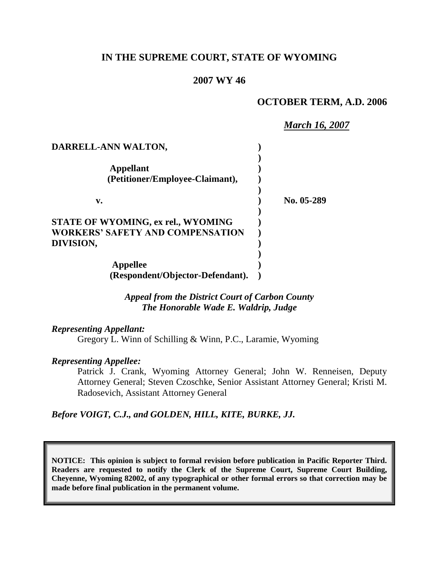## **IN THE SUPREME COURT, STATE OF WYOMING**

#### **2007 WY 46**

#### **OCTOBER TERM, A.D. 2006**

*March 16, 2007* **DARRELL-ANN WALTON, ) ) Appellant ) (Petitioner/Employee-Claimant), ) ) v. ) No. 05-289 ) STATE OF WYOMING, ex rel., WYOMING ) WORKERS' SAFETY AND COMPENSATION ) DIVISION, ) ) Appellee ) (Respondent/Objector-Defendant). )**

> *Appeal from the District Court of Carbon County The Honorable Wade E. Waldrip, Judge*

*Representing Appellant:* Gregory L. Winn of Schilling & Winn, P.C., Laramie, Wyoming

#### *Representing Appellee:*

Patrick J. Crank, Wyoming Attorney General; John W. Renneisen, Deputy Attorney General; Steven Czoschke, Senior Assistant Attorney General; Kristi M. Radosevich, Assistant Attorney General

*Before VOIGT, C.J., and GOLDEN, HILL, KITE, BURKE, JJ.*

**NOTICE: This opinion is subject to formal revision before publication in Pacific Reporter Third. Readers are requested to notify the Clerk of the Supreme Court, Supreme Court Building, Cheyenne, Wyoming 82002, of any typographical or other formal errors so that correction may be made before final publication in the permanent volume.**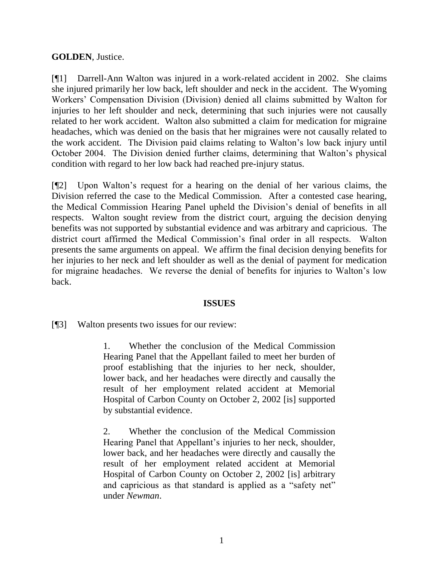## **GOLDEN**, Justice.

[¶1] Darrell-Ann Walton was injured in a work-related accident in 2002. She claims she injured primarily her low back, left shoulder and neck in the accident. The Wyoming Workers' Compensation Division (Division) denied all claims submitted by Walton for injuries to her left shoulder and neck, determining that such injuries were not causally related to her work accident. Walton also submitted a claim for medication for migraine headaches, which was denied on the basis that her migraines were not causally related to the work accident. The Division paid claims relating to Walton's low back injury until October 2004. The Division denied further claims, determining that Walton's physical condition with regard to her low back had reached pre-injury status.

[¶2] Upon Walton's request for a hearing on the denial of her various claims, the Division referred the case to the Medical Commission. After a contested case hearing, the Medical Commission Hearing Panel upheld the Division's denial of benefits in all respects. Walton sought review from the district court, arguing the decision denying benefits was not supported by substantial evidence and was arbitrary and capricious. The district court affirmed the Medical Commission's final order in all respects. Walton presents the same arguments on appeal. We affirm the final decision denying benefits for her injuries to her neck and left shoulder as well as the denial of payment for medication for migraine headaches. We reverse the denial of benefits for injuries to Walton's low back.

#### **ISSUES**

[¶3] Walton presents two issues for our review:

1. Whether the conclusion of the Medical Commission Hearing Panel that the Appellant failed to meet her burden of proof establishing that the injuries to her neck, shoulder, lower back, and her headaches were directly and causally the result of her employment related accident at Memorial Hospital of Carbon County on October 2, 2002 [is] supported by substantial evidence.

2. Whether the conclusion of the Medical Commission Hearing Panel that Appellant's injuries to her neck, shoulder, lower back, and her headaches were directly and causally the result of her employment related accident at Memorial Hospital of Carbon County on October 2, 2002 [is] arbitrary and capricious as that standard is applied as a "safety net" under *Newman*.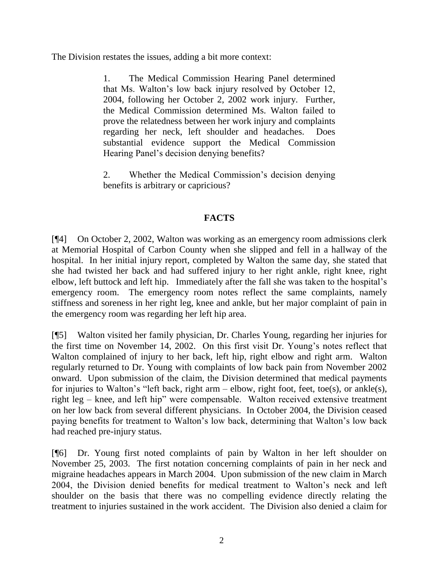The Division restates the issues, adding a bit more context:

1. The Medical Commission Hearing Panel determined that Ms. Walton's low back injury resolved by October 12, 2004, following her October 2, 2002 work injury. Further, the Medical Commission determined Ms. Walton failed to prove the relatedness between her work injury and complaints regarding her neck, left shoulder and headaches. Does substantial evidence support the Medical Commission Hearing Panel's decision denying benefits?

2. Whether the Medical Commission's decision denying benefits is arbitrary or capricious?

# **FACTS**

[¶4] On October 2, 2002, Walton was working as an emergency room admissions clerk at Memorial Hospital of Carbon County when she slipped and fell in a hallway of the hospital. In her initial injury report, completed by Walton the same day, she stated that she had twisted her back and had suffered injury to her right ankle, right knee, right elbow, left buttock and left hip. Immediately after the fall she was taken to the hospital's emergency room. The emergency room notes reflect the same complaints, namely stiffness and soreness in her right leg, knee and ankle, but her major complaint of pain in the emergency room was regarding her left hip area.

[¶5] Walton visited her family physician, Dr. Charles Young, regarding her injuries for the first time on November 14, 2002. On this first visit Dr. Young's notes reflect that Walton complained of injury to her back, left hip, right elbow and right arm. Walton regularly returned to Dr. Young with complaints of low back pain from November 2002 onward. Upon submission of the claim, the Division determined that medical payments for injuries to Walton's "left back, right arm – elbow, right foot, feet, toe(s), or ankle(s), right leg – knee, and left hip" were compensable. Walton received extensive treatment on her low back from several different physicians. In October 2004, the Division ceased paying benefits for treatment to Walton's low back, determining that Walton's low back had reached pre-injury status.

[¶6] Dr. Young first noted complaints of pain by Walton in her left shoulder on November 25, 2003. The first notation concerning complaints of pain in her neck and migraine headaches appears in March 2004. Upon submission of the new claim in March 2004, the Division denied benefits for medical treatment to Walton's neck and left shoulder on the basis that there was no compelling evidence directly relating the treatment to injuries sustained in the work accident. The Division also denied a claim for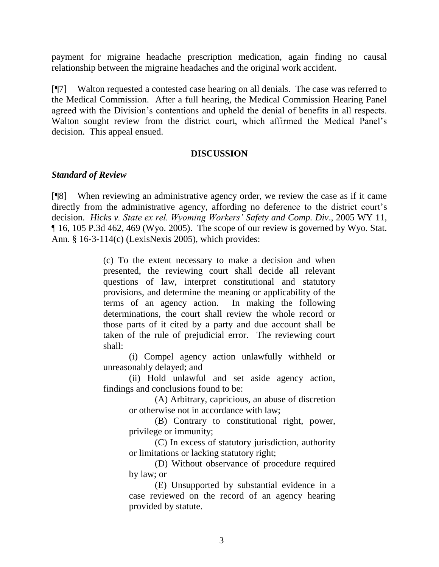payment for migraine headache prescription medication, again finding no causal relationship between the migraine headaches and the original work accident.

[¶7] Walton requested a contested case hearing on all denials. The case was referred to the Medical Commission. After a full hearing, the Medical Commission Hearing Panel agreed with the Division's contentions and upheld the denial of benefits in all respects. Walton sought review from the district court, which affirmed the Medical Panel's decision. This appeal ensued.

#### **DISCUSSION**

#### *Standard of Review*

[¶8] When reviewing an administrative agency order, we review the case as if it came directly from the administrative agency, affording no deference to the district court's decision. *Hicks v. State ex rel. Wyoming Workers' Safety and Comp. Div*., 2005 WY 11, ¶ 16, 105 P.3d 462, 469 (Wyo. 2005). The scope of our review is governed by Wyo. Stat. Ann. § 16-3-114(c) (LexisNexis 2005), which provides:

> (c) To the extent necessary to make a decision and when presented, the reviewing court shall decide all relevant questions of law, interpret constitutional and statutory provisions, and determine the meaning or applicability of the terms of an agency action. In making the following determinations, the court shall review the whole record or those parts of it cited by a party and due account shall be taken of the rule of prejudicial error. The reviewing court shall:

> (i) Compel agency action unlawfully withheld or unreasonably delayed; and

> (ii) Hold unlawful and set aside agency action, findings and conclusions found to be:

> > (A) Arbitrary, capricious, an abuse of discretion or otherwise not in accordance with law;

> > (B) Contrary to constitutional right, power, privilege or immunity;

> > (C) In excess of statutory jurisdiction, authority or limitations or lacking statutory right;

> > (D) Without observance of procedure required by law; or

> > (E) Unsupported by substantial evidence in a case reviewed on the record of an agency hearing provided by statute.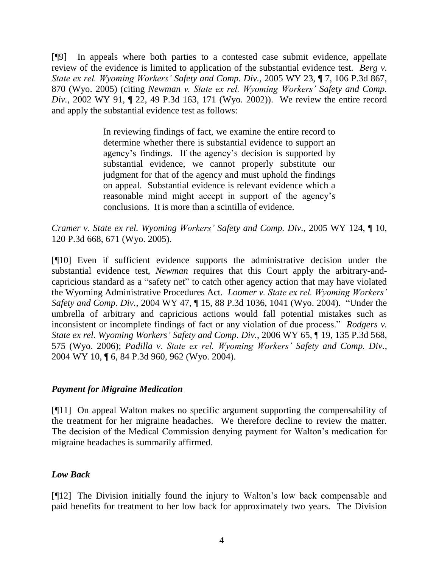[¶9] In appeals where both parties to a contested case submit evidence, appellate review of the evidence is limited to application of the substantial evidence test. *Berg v. State ex rel. Wyoming Workers' Safety and Comp. Div.*, 2005 WY 23, ¶ 7, 106 P.3d 867, 870 (Wyo. 2005) (citing *Newman v. State ex rel. Wyoming Workers' Safety and Comp. Div.*, 2002 WY 91, ¶ 22, 49 P.3d 163, 171 (Wyo. 2002)). We review the entire record and apply the substantial evidence test as follows:

> In reviewing findings of fact, we examine the entire record to determine whether there is substantial evidence to support an agency's findings. If the agency's decision is supported by substantial evidence, we cannot properly substitute our judgment for that of the agency and must uphold the findings on appeal. Substantial evidence is relevant evidence which a reasonable mind might accept in support of the agency's conclusions. It is more than a scintilla of evidence.

*Cramer v. State ex rel. Wyoming Workers' Safety and Comp. Div.*, 2005 WY 124, ¶ 10, 120 P.3d 668, 671 (Wyo. 2005).

[¶10] Even if sufficient evidence supports the administrative decision under the substantial evidence test, *Newman* requires that this Court apply the arbitrary-andcapricious standard as a "safety net" to catch other agency action that may have violated the Wyoming Administrative Procedures Act. *Loomer v. State ex rel. Wyoming Workers' Safety and Comp. Div.*, 2004 WY 47, ¶ 15, 88 P.3d 1036, 1041 (Wyo. 2004). "Under the umbrella of arbitrary and capricious actions would fall potential mistakes such as inconsistent or incomplete findings of fact or any violation of due process." *Rodgers v. State ex rel. Wyoming Workers' Safety and Comp. Div.*, 2006 WY 65, ¶ 19, 135 P.3d 568, 575 (Wyo. 2006); *Padilla v. State ex rel. Wyoming Workers' Safety and Comp. Div.*, 2004 WY 10, ¶ 6, 84 P.3d 960, 962 (Wyo. 2004).

#### *Payment for Migraine Medication*

[¶11] On appeal Walton makes no specific argument supporting the compensability of the treatment for her migraine headaches. We therefore decline to review the matter. The decision of the Medical Commission denying payment for Walton's medication for migraine headaches is summarily affirmed.

## *Low Back*

[¶12] The Division initially found the injury to Walton's low back compensable and paid benefits for treatment to her low back for approximately two years. The Division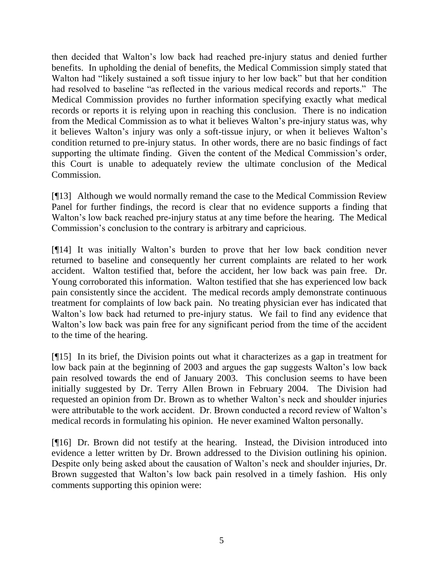then decided that Walton's low back had reached pre-injury status and denied further benefits. In upholding the denial of benefits, the Medical Commission simply stated that Walton had "likely sustained a soft tissue injury to her low back" but that her condition had resolved to baseline "as reflected in the various medical records and reports." The Medical Commission provides no further information specifying exactly what medical records or reports it is relying upon in reaching this conclusion. There is no indication from the Medical Commission as to what it believes Walton's pre-injury status was, why it believes Walton's injury was only a soft-tissue injury, or when it believes Walton's condition returned to pre-injury status. In other words, there are no basic findings of fact supporting the ultimate finding. Given the content of the Medical Commission's order, this Court is unable to adequately review the ultimate conclusion of the Medical Commission.

[¶13] Although we would normally remand the case to the Medical Commission Review Panel for further findings, the record is clear that no evidence supports a finding that Walton's low back reached pre-injury status at any time before the hearing. The Medical Commission's conclusion to the contrary is arbitrary and capricious.

[¶14] It was initially Walton's burden to prove that her low back condition never returned to baseline and consequently her current complaints are related to her work accident. Walton testified that, before the accident, her low back was pain free. Dr. Young corroborated this information. Walton testified that she has experienced low back pain consistently since the accident. The medical records amply demonstrate continuous treatment for complaints of low back pain. No treating physician ever has indicated that Walton's low back had returned to pre-injury status. We fail to find any evidence that Walton's low back was pain free for any significant period from the time of the accident to the time of the hearing.

[¶15] In its brief, the Division points out what it characterizes as a gap in treatment for low back pain at the beginning of 2003 and argues the gap suggests Walton's low back pain resolved towards the end of January 2003. This conclusion seems to have been initially suggested by Dr. Terry Allen Brown in February 2004. The Division had requested an opinion from Dr. Brown as to whether Walton's neck and shoulder injuries were attributable to the work accident. Dr. Brown conducted a record review of Walton's medical records in formulating his opinion. He never examined Walton personally.

[¶16] Dr. Brown did not testify at the hearing. Instead, the Division introduced into evidence a letter written by Dr. Brown addressed to the Division outlining his opinion. Despite only being asked about the causation of Walton's neck and shoulder injuries, Dr. Brown suggested that Walton's low back pain resolved in a timely fashion. His only comments supporting this opinion were: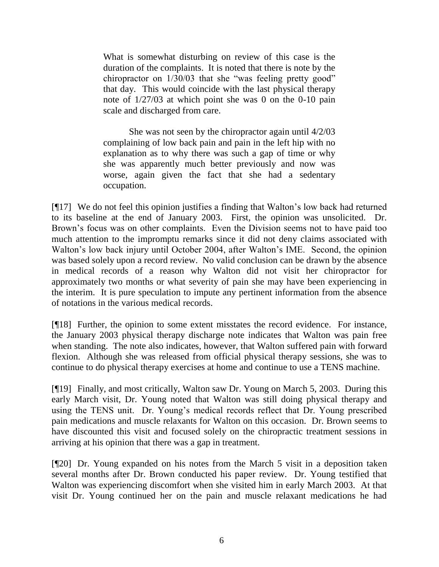What is somewhat disturbing on review of this case is the duration of the complaints. It is noted that there is note by the chiropractor on 1/30/03 that she "was feeling pretty good" that day. This would coincide with the last physical therapy note of 1/27/03 at which point she was 0 on the 0-10 pain scale and discharged from care.

She was not seen by the chiropractor again until 4/2/03 complaining of low back pain and pain in the left hip with no explanation as to why there was such a gap of time or why she was apparently much better previously and now was worse, again given the fact that she had a sedentary occupation.

[¶17] We do not feel this opinion justifies a finding that Walton's low back had returned to its baseline at the end of January 2003. First, the opinion was unsolicited. Dr. Brown's focus was on other complaints. Even the Division seems not to have paid too much attention to the impromptu remarks since it did not deny claims associated with Walton's low back injury until October 2004, after Walton's IME. Second, the opinion was based solely upon a record review. No valid conclusion can be drawn by the absence in medical records of a reason why Walton did not visit her chiropractor for approximately two months or what severity of pain she may have been experiencing in the interim. It is pure speculation to impute any pertinent information from the absence of notations in the various medical records.

[¶18] Further, the opinion to some extent misstates the record evidence. For instance, the January 2003 physical therapy discharge note indicates that Walton was pain free when standing. The note also indicates, however, that Walton suffered pain with forward flexion. Although she was released from official physical therapy sessions, she was to continue to do physical therapy exercises at home and continue to use a TENS machine.

[¶19] Finally, and most critically, Walton saw Dr. Young on March 5, 2003. During this early March visit, Dr. Young noted that Walton was still doing physical therapy and using the TENS unit. Dr. Young's medical records reflect that Dr. Young prescribed pain medications and muscle relaxants for Walton on this occasion. Dr. Brown seems to have discounted this visit and focused solely on the chiropractic treatment sessions in arriving at his opinion that there was a gap in treatment.

[¶20] Dr. Young expanded on his notes from the March 5 visit in a deposition taken several months after Dr. Brown conducted his paper review. Dr. Young testified that Walton was experiencing discomfort when she visited him in early March 2003. At that visit Dr. Young continued her on the pain and muscle relaxant medications he had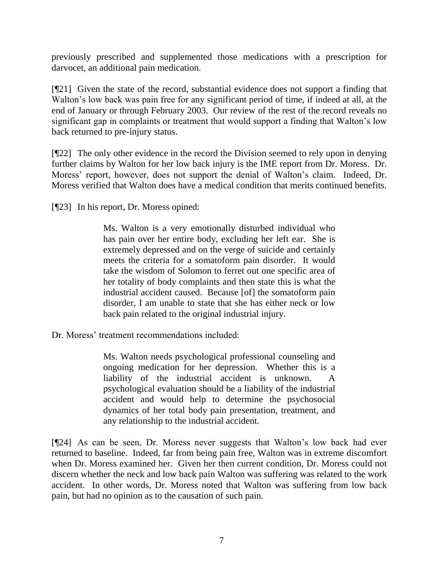previously prescribed and supplemented those medications with a prescription for darvocet, an additional pain medication.

[¶21] Given the state of the record, substantial evidence does not support a finding that Walton's low back was pain free for any significant period of time, if indeed at all, at the end of January or through February 2003. Our review of the rest of the record reveals no significant gap in complaints or treatment that would support a finding that Walton's low back returned to pre-injury status.

[¶22] The only other evidence in the record the Division seemed to rely upon in denying further claims by Walton for her low back injury is the IME report from Dr. Moress. Dr. Moress' report, however, does not support the denial of Walton's claim. Indeed, Dr. Moress verified that Walton does have a medical condition that merits continued benefits.

[¶23] In his report, Dr. Moress opined:

Ms. Walton is a very emotionally disturbed individual who has pain over her entire body, excluding her left ear. She is extremely depressed and on the verge of suicide and certainly meets the criteria for a somatoform pain disorder. It would take the wisdom of Solomon to ferret out one specific area of her totality of body complaints and then state this is what the industrial accident caused. Because [of] the somatoform pain disorder, I am unable to state that she has either neck or low back pain related to the original industrial injury.

Dr. Moress' treatment recommendations included:

Ms. Walton needs psychological professional counseling and ongoing medication for her depression. Whether this is a liability of the industrial accident is unknown. A psychological evaluation should be a liability of the industrial accident and would help to determine the psychosocial dynamics of her total body pain presentation, treatment, and any relationship to the industrial accident.

[¶24] As can be seen, Dr. Moress never suggests that Walton's low back had ever returned to baseline. Indeed, far from being pain free, Walton was in extreme discomfort when Dr. Moress examined her. Given her then current condition, Dr. Moress could not discern whether the neck and low back pain Walton was suffering was related to the work accident. In other words, Dr. Moress noted that Walton was suffering from low back pain, but had no opinion as to the causation of such pain.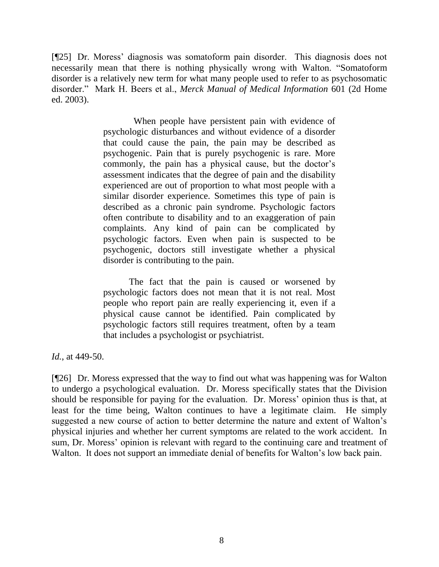[¶25] Dr. Moress' diagnosis was somatoform pain disorder. This diagnosis does not necessarily mean that there is nothing physically wrong with Walton. "Somatoform disorder is a relatively new term for what many people used to refer to as psychosomatic disorder." Mark H. Beers et al., *Merck Manual of Medical Information* 601 (2d Home ed. 2003).

> When people have persistent pain with evidence of psychologic disturbances and without evidence of a disorder that could cause the pain, the pain may be described as psychogenic. Pain that is purely psychogenic is rare. More commonly, the pain has a physical cause, but the doctor's assessment indicates that the degree of pain and the disability experienced are out of proportion to what most people with a similar disorder experience. Sometimes this type of pain is described as a chronic pain syndrome. Psychologic factors often contribute to disability and to an exaggeration of pain complaints. Any kind of pain can be complicated by psychologic factors. Even when pain is suspected to be psychogenic, doctors still investigate whether a physical disorder is contributing to the pain.

> The fact that the pain is caused or worsened by psychologic factors does not mean that it is not real. Most people who report pain are really experiencing it, even if a physical cause cannot be identified. Pain complicated by psychologic factors still requires treatment, often by a team that includes a psychologist or psychiatrist.

*Id.*, at 449-50.

[¶26] Dr. Moress expressed that the way to find out what was happening was for Walton to undergo a psychological evaluation. Dr. Moress specifically states that the Division should be responsible for paying for the evaluation. Dr. Moress' opinion thus is that, at least for the time being, Walton continues to have a legitimate claim. He simply suggested a new course of action to better determine the nature and extent of Walton's physical injuries and whether her current symptoms are related to the work accident. In sum, Dr. Moress' opinion is relevant with regard to the continuing care and treatment of Walton. It does not support an immediate denial of benefits for Walton's low back pain.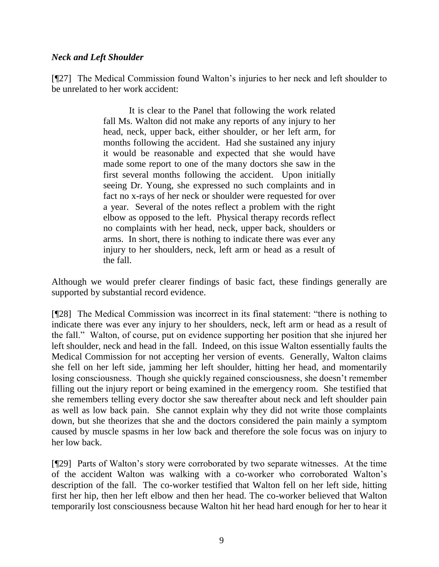### *Neck and Left Shoulder*

[¶27] The Medical Commission found Walton's injuries to her neck and left shoulder to be unrelated to her work accident:

> It is clear to the Panel that following the work related fall Ms. Walton did not make any reports of any injury to her head, neck, upper back, either shoulder, or her left arm, for months following the accident. Had she sustained any injury it would be reasonable and expected that she would have made some report to one of the many doctors she saw in the first several months following the accident. Upon initially seeing Dr. Young, she expressed no such complaints and in fact no x-rays of her neck or shoulder were requested for over a year. Several of the notes reflect a problem with the right elbow as opposed to the left. Physical therapy records reflect no complaints with her head, neck, upper back, shoulders or arms. In short, there is nothing to indicate there was ever any injury to her shoulders, neck, left arm or head as a result of the fall.

Although we would prefer clearer findings of basic fact, these findings generally are supported by substantial record evidence.

[¶28] The Medical Commission was incorrect in its final statement: "there is nothing to indicate there was ever any injury to her shoulders, neck, left arm or head as a result of the fall." Walton, of course, put on evidence supporting her position that she injured her left shoulder, neck and head in the fall. Indeed, on this issue Walton essentially faults the Medical Commission for not accepting her version of events. Generally, Walton claims she fell on her left side, jamming her left shoulder, hitting her head, and momentarily losing consciousness. Though she quickly regained consciousness, she doesn't remember filling out the injury report or being examined in the emergency room. She testified that she remembers telling every doctor she saw thereafter about neck and left shoulder pain as well as low back pain. She cannot explain why they did not write those complaints down, but she theorizes that she and the doctors considered the pain mainly a symptom caused by muscle spasms in her low back and therefore the sole focus was on injury to her low back.

[¶29] Parts of Walton's story were corroborated by two separate witnesses. At the time of the accident Walton was walking with a co-worker who corroborated Walton's description of the fall. The co-worker testified that Walton fell on her left side, hitting first her hip, then her left elbow and then her head. The co-worker believed that Walton temporarily lost consciousness because Walton hit her head hard enough for her to hear it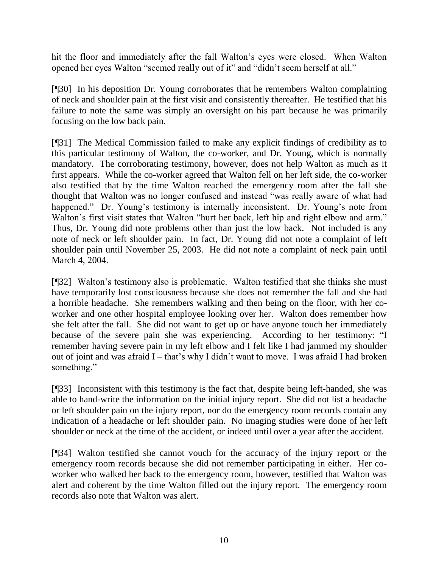hit the floor and immediately after the fall Walton's eyes were closed. When Walton opened her eyes Walton "seemed really out of it" and "didn't seem herself at all."

[¶30] In his deposition Dr. Young corroborates that he remembers Walton complaining of neck and shoulder pain at the first visit and consistently thereafter. He testified that his failure to note the same was simply an oversight on his part because he was primarily focusing on the low back pain.

[¶31] The Medical Commission failed to make any explicit findings of credibility as to this particular testimony of Walton, the co-worker, and Dr. Young, which is normally mandatory. The corroborating testimony, however, does not help Walton as much as it first appears. While the co-worker agreed that Walton fell on her left side, the co-worker also testified that by the time Walton reached the emergency room after the fall she thought that Walton was no longer confused and instead "was really aware of what had happened." Dr. Young's testimony is internally inconsistent. Dr. Young's note from Walton's first visit states that Walton "hurt her back, left hip and right elbow and arm." Thus, Dr. Young did note problems other than just the low back. Not included is any note of neck or left shoulder pain. In fact, Dr. Young did not note a complaint of left shoulder pain until November 25, 2003. He did not note a complaint of neck pain until March 4, 2004.

[¶32] Walton's testimony also is problematic. Walton testified that she thinks she must have temporarily lost consciousness because she does not remember the fall and she had a horrible headache. She remembers walking and then being on the floor, with her coworker and one other hospital employee looking over her. Walton does remember how she felt after the fall. She did not want to get up or have anyone touch her immediately because of the severe pain she was experiencing. According to her testimony: "I remember having severe pain in my left elbow and I felt like I had jammed my shoulder out of joint and was afraid I – that's why I didn't want to move. I was afraid I had broken something."

[¶33] Inconsistent with this testimony is the fact that, despite being left-handed, she was able to hand-write the information on the initial injury report. She did not list a headache or left shoulder pain on the injury report, nor do the emergency room records contain any indication of a headache or left shoulder pain. No imaging studies were done of her left shoulder or neck at the time of the accident, or indeed until over a year after the accident.

[¶34] Walton testified she cannot vouch for the accuracy of the injury report or the emergency room records because she did not remember participating in either. Her coworker who walked her back to the emergency room, however, testified that Walton was alert and coherent by the time Walton filled out the injury report. The emergency room records also note that Walton was alert.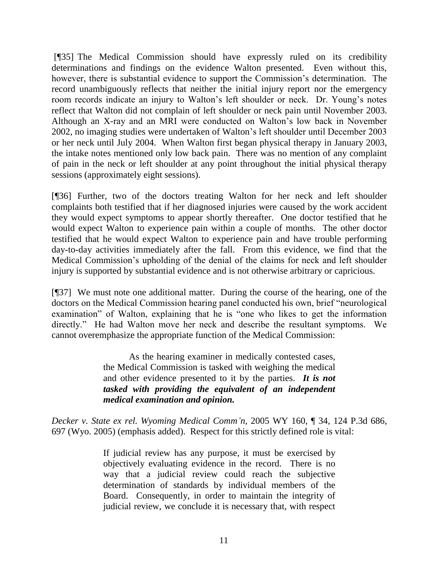[¶35] The Medical Commission should have expressly ruled on its credibility determinations and findings on the evidence Walton presented. Even without this, however, there is substantial evidence to support the Commission's determination. The record unambiguously reflects that neither the initial injury report nor the emergency room records indicate an injury to Walton's left shoulder or neck. Dr. Young's notes reflect that Walton did not complain of left shoulder or neck pain until November 2003. Although an X-ray and an MRI were conducted on Walton's low back in November 2002, no imaging studies were undertaken of Walton's left shoulder until December 2003 or her neck until July 2004. When Walton first began physical therapy in January 2003, the intake notes mentioned only low back pain. There was no mention of any complaint of pain in the neck or left shoulder at any point throughout the initial physical therapy sessions (approximately eight sessions).

[¶36] Further, two of the doctors treating Walton for her neck and left shoulder complaints both testified that if her diagnosed injuries were caused by the work accident they would expect symptoms to appear shortly thereafter. One doctor testified that he would expect Walton to experience pain within a couple of months. The other doctor testified that he would expect Walton to experience pain and have trouble performing day-to-day activities immediately after the fall. From this evidence, we find that the Medical Commission's upholding of the denial of the claims for neck and left shoulder injury is supported by substantial evidence and is not otherwise arbitrary or capricious.

[¶37] We must note one additional matter. During the course of the hearing, one of the doctors on the Medical Commission hearing panel conducted his own, brief "neurological examination" of Walton, explaining that he is "one who likes to get the information directly." He had Walton move her neck and describe the resultant symptoms. We cannot overemphasize the appropriate function of the Medical Commission:

> As the hearing examiner in medically contested cases, the Medical Commission is tasked with weighing the medical and other evidence presented to it by the parties. *It is not tasked with providing the equivalent of an independent medical examination and opinion.*

*Decker v. State ex rel. Wyoming Medical Comm'n*, 2005 WY 160, ¶ 34, 124 P.3d 686, 697 (Wyo. 2005) (emphasis added). Respect for this strictly defined role is vital:

> If judicial review has any purpose, it must be exercised by objectively evaluating evidence in the record. There is no way that a judicial review could reach the subjective determination of standards by individual members of the Board. Consequently, in order to maintain the integrity of judicial review, we conclude it is necessary that, with respect